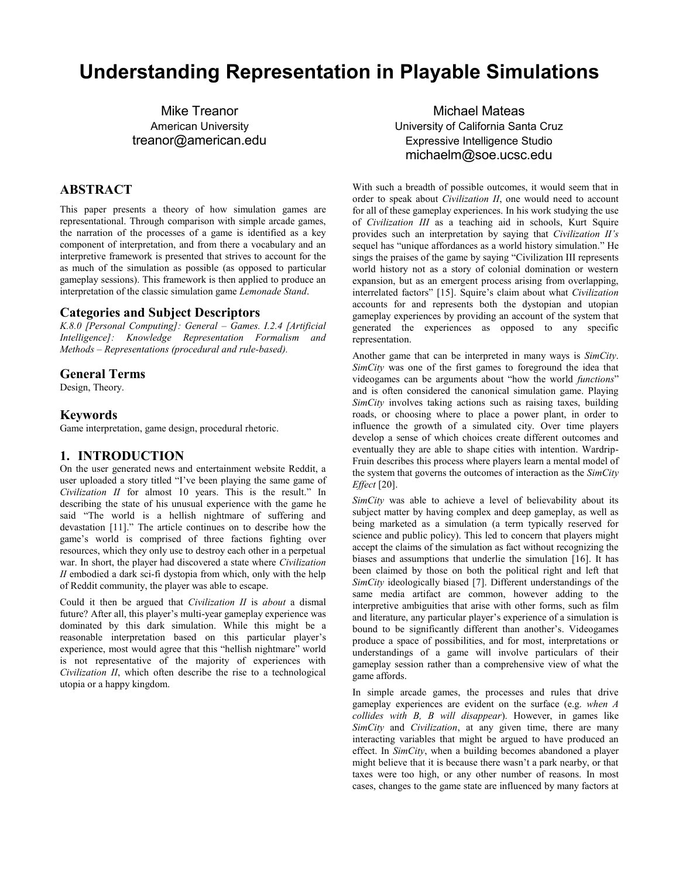# **Understanding Representation in Playable Simulations**

Mike Treanor American University treanor@american.edu

## **ABSTRACT**

This paper presents a theory of how simulation games are representational. Through comparison with simple arcade games, the narration of the processes of a game is identified as a key component of interpretation, and from there a vocabulary and an interpretive framework is presented that strives to account for the as much of the simulation as possible (as opposed to particular gameplay sessions). This framework is then applied to produce an interpretation of the classic simulation game *Lemonade Stand*.

#### **Categories and Subject Descriptors**

*K.8.0 [Personal Computing]: General – Games. I.2.4 [Artificial Intelligence]: Knowledge Representation Formalism and Methods – Representations (procedural and rule-based).*

#### **General Terms**

Design, Theory.

#### **Keywords**

Game interpretation, game design, procedural rhetoric.

#### **1. INTRODUCTION**

On the user generated news and entertainment website Reddit, a user uploaded a story titled "I've been playing the same game of *Civilization II* for almost 10 years. This is the result." In describing the state of his unusual experience with the game he said "The world is a hellish nightmare of suffering and devastation [11]." The article continues on to describe how the game's world is comprised of three factions fighting over resources, which they only use to destroy each other in a perpetual war. In short, the player had discovered a state where *Civilization II* embodied a dark sci-fi dystopia from which, only with the help of Reddit community, the player was able to escape.

Could it then be argued that *Civilization II* is *about* a dismal future? After all, this player's multi-year gameplay experience was dominated by this dark simulation. While this might be a reasonable interpretation based on this particular player's experience, most would agree that this "hellish nightmare" world is not representative of the majority of experiences with *Civilization II*, which often describe the rise to a technological utopia or a happy kingdom.

Michael Mateas University of California Santa Cruz Expressive Intelligence Studio michaelm@soe.ucsc.edu

With such a breadth of possible outcomes, it would seem that in order to speak about *Civilization II*, one would need to account for all of these gameplay experiences. In his work studying the use of *Civilization III* as a teaching aid in schools, Kurt Squire provides such an interpretation by saying that *Civilization II's*  sequel has "unique affordances as a world history simulation." He sings the praises of the game by saying "Civilization III represents world history not as a story of colonial domination or western expansion, but as an emergent process arising from overlapping, interrelated factors" [15]. Squire's claim about what *Civilization* accounts for and represents both the dystopian and utopian gameplay experiences by providing an account of the system that generated the experiences as opposed to any specific representation.

Another game that can be interpreted in many ways is *SimCity*. *SimCity* was one of the first games to foreground the idea that videogames can be arguments about "how the world *functions*" and is often considered the canonical simulation game. Playing *SimCity* involves taking actions such as raising taxes, building roads, or choosing where to place a power plant, in order to influence the growth of a simulated city. Over time players develop a sense of which choices create different outcomes and eventually they are able to shape cities with intention. Wardrip-Fruin describes this process where players learn a mental model of the system that governs the outcomes of interaction as the *SimCity Effect* [20].

*SimCity* was able to achieve a level of believability about its subject matter by having complex and deep gameplay, as well as being marketed as a simulation (a term typically reserved for science and public policy). This led to concern that players might accept the claims of the simulation as fact without recognizing the biases and assumptions that underlie the simulation [16]. It has been claimed by those on both the political right and left that *SimCity* ideologically biased [7]. Different understandings of the same media artifact are common, however adding to the interpretive ambiguities that arise with other forms, such as film and literature, any particular player's experience of a simulation is bound to be significantly different than another's. Videogames produce a space of possibilities, and for most, interpretations or understandings of a game will involve particulars of their gameplay session rather than a comprehensive view of what the game affords.

In simple arcade games, the processes and rules that drive gameplay experiences are evident on the surface (e.g. *when A collides with B, B will disappear*). However, in games like *SimCity* and *Civilization*, at any given time, there are many interacting variables that might be argued to have produced an effect. In *SimCity*, when a building becomes abandoned a player might believe that it is because there wasn't a park nearby, or that taxes were too high, or any other number of reasons. In most cases, changes to the game state are influenced by many factors at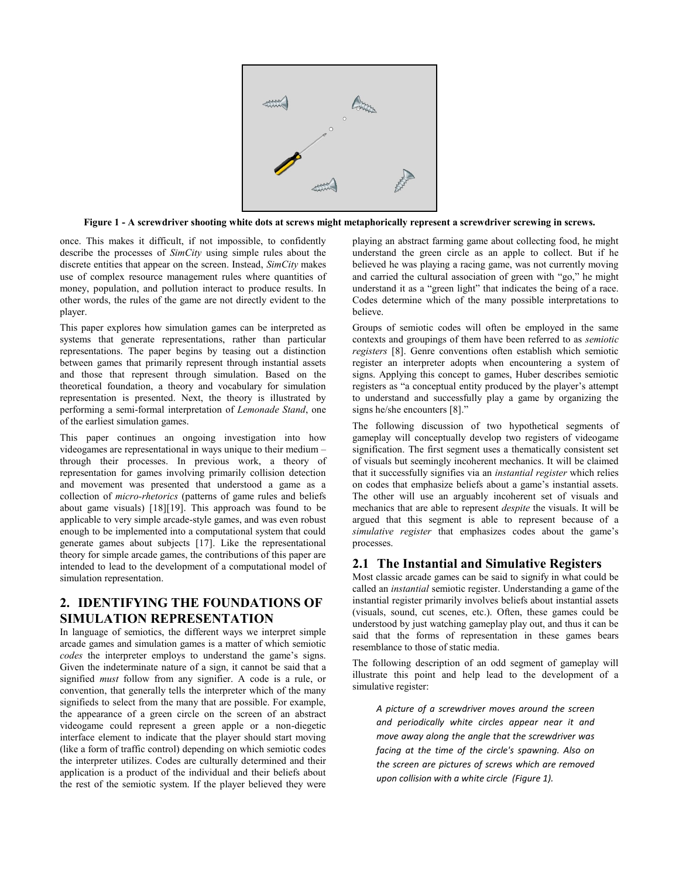

**Figure 1 - A screwdriver shooting white dots at screws might metaphorically represent a screwdriver screwing in screws.**

<span id="page-1-0"></span>once. This makes it difficult, if not impossible, to confidently describe the processes of *SimCity* using simple rules about the discrete entities that appear on the screen. Instead, *SimCity* makes use of complex resource management rules where quantities of money, population, and pollution interact to produce results. In other words, the rules of the game are not directly evident to the player.

This paper explores how simulation games can be interpreted as systems that generate representations, rather than particular representations. The paper begins by teasing out a distinction between games that primarily represent through instantial assets and those that represent through simulation. Based on the theoretical foundation, a theory and vocabulary for simulation representation is presented. Next, the theory is illustrated by performing a semi-formal interpretation of *Lemonade Stand*, one of the earliest simulation games.

This paper continues an ongoing investigation into how videogames are representational in ways unique to their medium – through their processes. In previous work, a theory of representation for games involving primarily collision detection and movement was presented that understood a game as a collection of *micro-rhetorics* (patterns of game rules and beliefs about game visuals) [18][19]. This approach was found to be applicable to very simple arcade-style games, and was even robust enough to be implemented into a computational system that could generate games about subjects [17]. Like the representational theory for simple arcade games, the contributions of this paper are intended to lead to the development of a computational model of simulation representation.

# **2. IDENTIFYING THE FOUNDATIONS OF SIMULATION REPRESENTATION**

In language of semiotics, the different ways we interpret simple arcade games and simulation games is a matter of which semiotic *codes* the interpreter employs to understand the game's signs. Given the indeterminate nature of a sign, it cannot be said that a signified *must* follow from any signifier. A code is a rule, or convention, that generally tells the interpreter which of the many signifieds to select from the many that are possible. For example, the appearance of a green circle on the screen of an abstract videogame could represent a green apple or a non-diegetic interface element to indicate that the player should start moving (like a form of traffic control) depending on which semiotic codes the interpreter utilizes. Codes are culturally determined and their application is a product of the individual and their beliefs about the rest of the semiotic system. If the player believed they were playing an abstract farming game about collecting food, he might understand the green circle as an apple to collect. But if he believed he was playing a racing game, was not currently moving and carried the cultural association of green with "go," he might understand it as a "green light" that indicates the being of a race. Codes determine which of the many possible interpretations to believe.

Groups of semiotic codes will often be employed in the same contexts and groupings of them have been referred to as *semiotic registers* [8]. Genre conventions often establish which semiotic register an interpreter adopts when encountering a system of signs. Applying this concept to games, Huber describes semiotic registers as "a conceptual entity produced by the player's attempt to understand and successfully play a game by organizing the signs he/she encounters [8]."

The following discussion of two hypothetical segments of gameplay will conceptually develop two registers of videogame signification. The first segment uses a thematically consistent set of visuals but seemingly incoherent mechanics. It will be claimed that it successfully signifies via an *instantial register* which relies on codes that emphasize beliefs about a game's instantial assets. The other will use an arguably incoherent set of visuals and mechanics that are able to represent *despite* the visuals. It will be argued that this segment is able to represent because of a *simulative register* that emphasizes codes about the game's processes.

# **2.1 The Instantial and Simulative Registers**

Most classic arcade games can be said to signify in what could be called an *instantial* semiotic register. Understanding a game of the instantial register primarily involves beliefs about instantial assets (visuals, sound, cut scenes, etc.). Often, these games could be understood by just watching gameplay play out, and thus it can be said that the forms of representation in these games bears resemblance to those of static media.

The following description of an odd segment of gameplay will illustrate this point and help lead to the development of a simulative register:

*A picture of a screwdriver moves around the screen and periodically white circles appear near it and move away along the angle that the screwdriver was facing at the time of the circle's spawning. Also on the screen are pictures of screws which are removed upon collision with a white circle [\(Figure 1\)](#page-1-0).*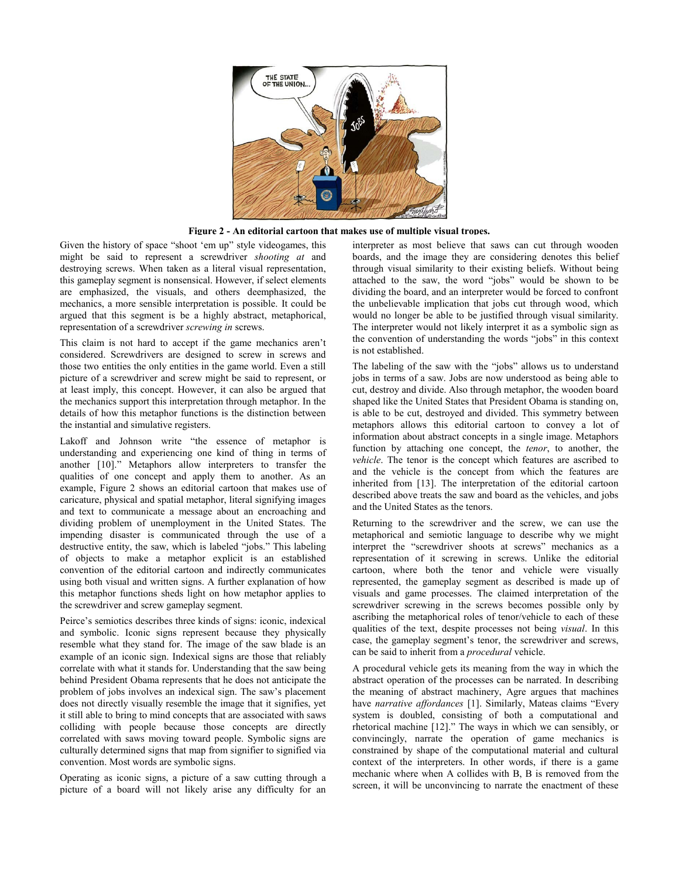

**Figure 2 - An editorial cartoon that makes use of multiple visual tropes.**

<span id="page-2-0"></span>Given the history of space "shoot 'em up" style videogames, this might be said to represent a screwdriver *shooting at* and destroying screws. When taken as a literal visual representation, this gameplay segment is nonsensical. However, if select elements are emphasized, the visuals, and others deemphasized, the mechanics, a more sensible interpretation is possible. It could be argued that this segment is be a highly abstract, metaphorical, representation of a screwdriver *screwing in* screws.

This claim is not hard to accept if the game mechanics aren't considered. Screwdrivers are designed to screw in screws and those two entities the only entities in the game world. Even a still picture of a screwdriver and screw might be said to represent, or at least imply, this concept. However, it can also be argued that the mechanics support this interpretation through metaphor. In the details of how this metaphor functions is the distinction between the instantial and simulative registers.

Lakoff and Johnson write "the essence of metaphor is understanding and experiencing one kind of thing in terms of another [10]." Metaphors allow interpreters to transfer the qualities of one concept and apply them to another. As an example, [Figure](#page-2-0) 2 shows an editorial cartoon that makes use of caricature, physical and spatial metaphor, literal signifying images and text to communicate a message about an encroaching and dividing problem of unemployment in the United States. The impending disaster is communicated through the use of a destructive entity, the saw, which is labeled "jobs." This labeling of objects to make a metaphor explicit is an established convention of the editorial cartoon and indirectly communicates using both visual and written signs. A further explanation of how this metaphor functions sheds light on how metaphor applies to the screwdriver and screw gameplay segment.

Peirce's semiotics describes three kinds of signs: iconic, indexical and symbolic. Iconic signs represent because they physically resemble what they stand for. The image of the saw blade is an example of an iconic sign. Indexical signs are those that reliably correlate with what it stands for. Understanding that the saw being behind President Obama represents that he does not anticipate the problem of jobs involves an indexical sign. The saw's placement does not directly visually resemble the image that it signifies, yet it still able to bring to mind concepts that are associated with saws colliding with people because those concepts are directly correlated with saws moving toward people. Symbolic signs are culturally determined signs that map from signifier to signified via convention. Most words are symbolic signs.

Operating as iconic signs, a picture of a saw cutting through a picture of a board will not likely arise any difficulty for an

interpreter as most believe that saws can cut through wooden boards, and the image they are considering denotes this belief through visual similarity to their existing beliefs. Without being attached to the saw, the word "jobs" would be shown to be dividing the board, and an interpreter would be forced to confront the unbelievable implication that jobs cut through wood, which would no longer be able to be justified through visual similarity. The interpreter would not likely interpret it as a symbolic sign as the convention of understanding the words "jobs" in this context is not established.

The labeling of the saw with the "jobs" allows us to understand jobs in terms of a saw. Jobs are now understood as being able to cut, destroy and divide. Also through metaphor, the wooden board shaped like the United States that President Obama is standing on, is able to be cut, destroyed and divided. This symmetry between metaphors allows this editorial cartoon to convey a lot of information about abstract concepts in a single image. Metaphors function by attaching one concept, the *tenor*, to another, the *vehicle*. The tenor is the concept which features are ascribed to and the vehicle is the concept from which the features are inherited from [13]. The interpretation of the editorial cartoon described above treats the saw and board as the vehicles, and jobs and the United States as the tenors.

Returning to the screwdriver and the screw, we can use the metaphorical and semiotic language to describe why we might interpret the "screwdriver shoots at screws" mechanics as a representation of it screwing in screws. Unlike the editorial cartoon, where both the tenor and vehicle were visually represented, the gameplay segment as described is made up of visuals and game processes. The claimed interpretation of the screwdriver screwing in the screws becomes possible only by ascribing the metaphorical roles of tenor/vehicle to each of these qualities of the text, despite processes not being *visual*. In this case, the gameplay segment's tenor, the screwdriver and screws, can be said to inherit from a *procedural* vehicle.

A procedural vehicle gets its meaning from the way in which the abstract operation of the processes can be narrated. In describing the meaning of abstract machinery, Agre argues that machines have *narrative affordances* [1]. Similarly, Mateas claims "Every system is doubled, consisting of both a computational and rhetorical machine [12]." The ways in which we can sensibly, or convincingly, narrate the operation of game mechanics is constrained by shape of the computational material and cultural context of the interpreters. In other words, if there is a game mechanic where when A collides with B, B is removed from the screen, it will be unconvincing to narrate the enactment of these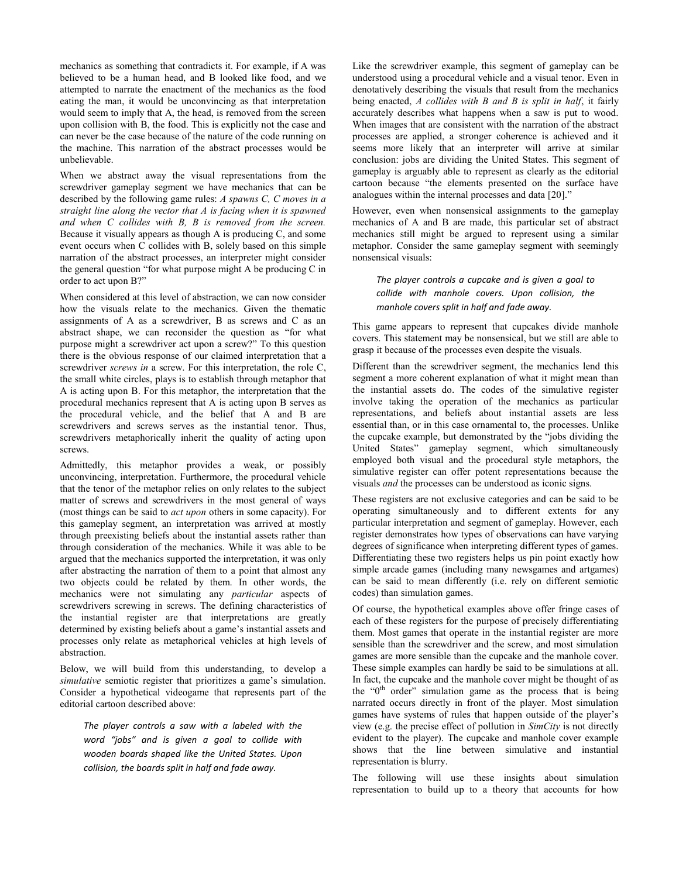mechanics as something that contradicts it. For example, if A was believed to be a human head, and B looked like food, and we attempted to narrate the enactment of the mechanics as the food eating the man, it would be unconvincing as that interpretation would seem to imply that A, the head, is removed from the screen upon collision with B, the food. This is explicitly not the case and can never be the case because of the nature of the code running on the machine. This narration of the abstract processes would be unbelievable.

When we abstract away the visual representations from the screwdriver gameplay segment we have mechanics that can be described by the following game rules: *A spawns C, C moves in a straight line along the vector that A is facing when it is spawned and when C collides with B, B is removed from the screen.* Because it visually appears as though A is producing C, and some event occurs when C collides with B, solely based on this simple narration of the abstract processes, an interpreter might consider the general question "for what purpose might A be producing C in order to act upon B?"

When considered at this level of abstraction, we can now consider how the visuals relate to the mechanics. Given the thematic assignments of A as a screwdriver, B as screws and C as an abstract shape, we can reconsider the question as "for what purpose might a screwdriver act upon a screw?" To this question there is the obvious response of our claimed interpretation that a screwdriver *screws in* a screw. For this interpretation, the role C, the small white circles, plays is to establish through metaphor that A is acting upon B. For this metaphor, the interpretation that the procedural mechanics represent that A is acting upon B serves as the procedural vehicle, and the belief that A and B are screwdrivers and screws serves as the instantial tenor. Thus, screwdrivers metaphorically inherit the quality of acting upon screws.

Admittedly, this metaphor provides a weak, or possibly unconvincing, interpretation. Furthermore, the procedural vehicle that the tenor of the metaphor relies on only relates to the subject matter of screws and screwdrivers in the most general of ways (most things can be said to *act upon* others in some capacity). For this gameplay segment, an interpretation was arrived at mostly through preexisting beliefs about the instantial assets rather than through consideration of the mechanics. While it was able to be argued that the mechanics supported the interpretation, it was only after abstracting the narration of them to a point that almost any two objects could be related by them. In other words, the mechanics were not simulating any *particular* aspects of screwdrivers screwing in screws. The defining characteristics of the instantial register are that interpretations are greatly determined by existing beliefs about a game's instantial assets and processes only relate as metaphorical vehicles at high levels of abstraction.

Below, we will build from this understanding, to develop a *simulative* semiotic register that prioritizes a game's simulation. Consider a hypothetical videogame that represents part of the editorial cartoon described above:

*The player controls a saw with a labeled with the word "jobs" and is given a goal to collide with wooden boards shaped like the United States. Upon collision, the boards split in half and fade away.*

Like the screwdriver example, this segment of gameplay can be understood using a procedural vehicle and a visual tenor. Even in denotatively describing the visuals that result from the mechanics being enacted, *A collides with B and B is split in half*, it fairly accurately describes what happens when a saw is put to wood. When images that are consistent with the narration of the abstract processes are applied, a stronger coherence is achieved and it seems more likely that an interpreter will arrive at similar conclusion: jobs are dividing the United States. This segment of gameplay is arguably able to represent as clearly as the editorial cartoon because "the elements presented on the surface have analogues within the internal processes and data [20]."

However, even when nonsensical assignments to the gameplay mechanics of A and B are made, this particular set of abstract mechanics still might be argued to represent using a similar metaphor. Consider the same gameplay segment with seemingly nonsensical visuals:

*The player controls a cupcake and is given a goal to collide with manhole covers. Upon collision, the manhole covers split in half and fade away.*

This game appears to represent that cupcakes divide manhole covers. This statement may be nonsensical, but we still are able to grasp it because of the processes even despite the visuals.

Different than the screwdriver segment, the mechanics lend this segment a more coherent explanation of what it might mean than the instantial assets do. The codes of the simulative register involve taking the operation of the mechanics as particular representations, and beliefs about instantial assets are less essential than, or in this case ornamental to, the processes. Unlike the cupcake example, but demonstrated by the "jobs dividing the United States" gameplay segment, which simultaneously employed both visual and the procedural style metaphors, the simulative register can offer potent representations because the visuals *and* the processes can be understood as iconic signs.

These registers are not exclusive categories and can be said to be operating simultaneously and to different extents for any particular interpretation and segment of gameplay. However, each register demonstrates how types of observations can have varying degrees of significance when interpreting different types of games. Differentiating these two registers helps us pin point exactly how simple arcade games (including many newsgames and artgames) can be said to mean differently (i.e. rely on different semiotic codes) than simulation games.

Of course, the hypothetical examples above offer fringe cases of each of these registers for the purpose of precisely differentiating them. Most games that operate in the instantial register are more sensible than the screwdriver and the screw, and most simulation games are more sensible than the cupcake and the manhole cover. These simple examples can hardly be said to be simulations at all. In fact, the cupcake and the manhole cover might be thought of as the " $0<sup>th</sup>$  order" simulation game as the process that is being narrated occurs directly in front of the player. Most simulation games have systems of rules that happen outside of the player's view (e.g. the precise effect of pollution in *SimCity* is not directly evident to the player). The cupcake and manhole cover example shows that the line between simulative and instantial representation is blurry.

The following will use these insights about simulation representation to build up to a theory that accounts for how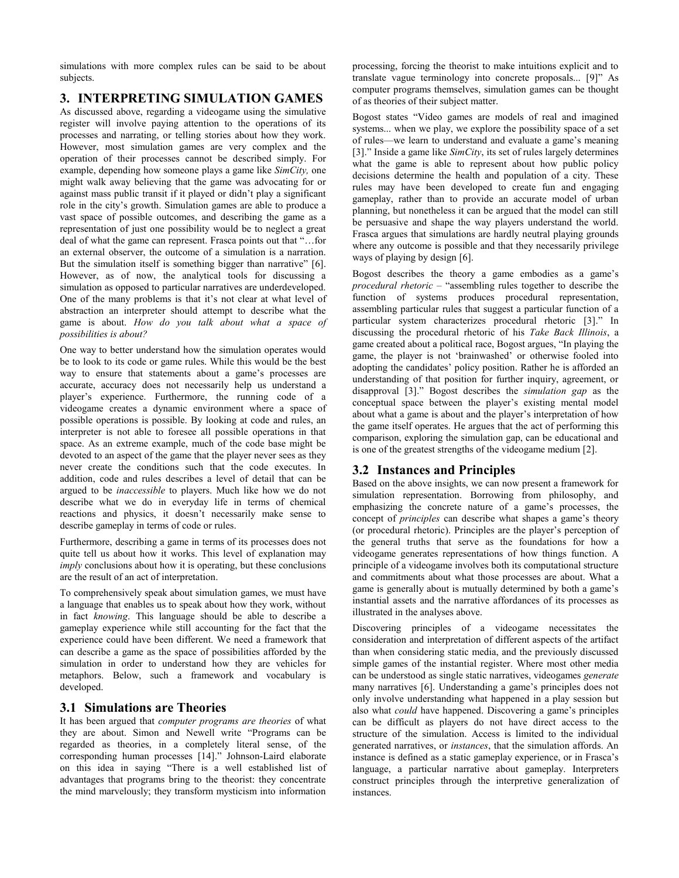simulations with more complex rules can be said to be about subjects.

## **3. INTERPRETING SIMULATION GAMES**

As discussed above, regarding a videogame using the simulative register will involve paying attention to the operations of its processes and narrating, or telling stories about how they work. However, most simulation games are very complex and the operation of their processes cannot be described simply. For example, depending how someone plays a game like *SimCity,* one might walk away believing that the game was advocating for or against mass public transit if it played or didn't play a significant role in the city's growth. Simulation games are able to produce a vast space of possible outcomes, and describing the game as a representation of just one possibility would be to neglect a great deal of what the game can represent. Frasca points out that "…for an external observer, the outcome of a simulation is a narration. But the simulation itself is something bigger than narrative" [6]. However, as of now, the analytical tools for discussing a simulation as opposed to particular narratives are underdeveloped. One of the many problems is that it's not clear at what level of abstraction an interpreter should attempt to describe what the game is about. *How do you talk about what a space of possibilities is about?*

One way to better understand how the simulation operates would be to look to its code or game rules. While this would be the best way to ensure that statements about a game's processes are accurate, accuracy does not necessarily help us understand a player's experience. Furthermore, the running code of a videogame creates a dynamic environment where a space of possible operations is possible. By looking at code and rules, an interpreter is not able to foresee all possible operations in that space. As an extreme example, much of the code base might be devoted to an aspect of the game that the player never sees as they never create the conditions such that the code executes. In addition, code and rules describes a level of detail that can be argued to be *inaccessible* to players. Much like how we do not describe what we do in everyday life in terms of chemical reactions and physics, it doesn't necessarily make sense to describe gameplay in terms of code or rules.

Furthermore, describing a game in terms of its processes does not quite tell us about how it works. This level of explanation may *imply* conclusions about how it is operating, but these conclusions are the result of an act of interpretation.

To comprehensively speak about simulation games, we must have a language that enables us to speak about how they work, without in fact *knowing*. This language should be able to describe a gameplay experience while still accounting for the fact that the experience could have been different. We need a framework that can describe a game as the space of possibilities afforded by the simulation in order to understand how they are vehicles for metaphors. Below, such a framework and vocabulary is developed.

# **3.1 Simulations are Theories**

It has been argued that *computer programs are theories* of what they are about. Simon and Newell write "Programs can be regarded as theories, in a completely literal sense, of the corresponding human processes [14]." Johnson-Laird elaborate on this idea in saying "There is a well established list of advantages that programs bring to the theorist: they concentrate the mind marvelously; they transform mysticism into information

processing, forcing the theorist to make intuitions explicit and to translate vague terminology into concrete proposals... [9]" As computer programs themselves, simulation games can be thought of as theories of their subject matter.

Bogost states "Video games are models of real and imagined systems... when we play, we explore the possibility space of a set of rules—we learn to understand and evaluate a game's meaning [3]." Inside a game like *SimCity*, its set of rules largely determines what the game is able to represent about how public policy decisions determine the health and population of a city. These rules may have been developed to create fun and engaging gameplay, rather than to provide an accurate model of urban planning, but nonetheless it can be argued that the model can still be persuasive and shape the way players understand the world. Frasca argues that simulations are hardly neutral playing grounds where any outcome is possible and that they necessarily privilege ways of playing by design [6].

Bogost describes the theory a game embodies as a game's *procedural rhetoric* – "assembling rules together to describe the function of systems produces procedural representation, assembling particular rules that suggest a particular function of a particular system characterizes procedural rhetoric [3]." In discussing the procedural rhetoric of his *Take Back Illinois*, a game created about a political race, Bogost argues, "In playing the game, the player is not 'brainwashed' or otherwise fooled into adopting the candidates' policy position. Rather he is afforded an understanding of that position for further inquiry, agreement, or disapproval [3]." Bogost describes the *simulation gap* as the conceptual space between the player's existing mental model about what a game is about and the player's interpretation of how the game itself operates. He argues that the act of performing this comparison, exploring the simulation gap, can be educational and is one of the greatest strengths of the videogame medium [2].

# **3.2 Instances and Principles**

Based on the above insights, we can now present a framework for simulation representation. Borrowing from philosophy, and emphasizing the concrete nature of a game's processes, the concept of *principles* can describe what shapes a game's theory (or procedural rhetoric). Principles are the player's perception of the general truths that serve as the foundations for how a videogame generates representations of how things function. A principle of a videogame involves both its computational structure and commitments about what those processes are about. What a game is generally about is mutually determined by both a game's instantial assets and the narrative affordances of its processes as illustrated in the analyses above.

Discovering principles of a videogame necessitates the consideration and interpretation of different aspects of the artifact than when considering static media, and the previously discussed simple games of the instantial register. Where most other media can be understood as single static narratives, videogames *generate* many narratives [6]. Understanding a game's principles does not only involve understanding what happened in a play session but also what *could* have happened. Discovering a game's principles can be difficult as players do not have direct access to the structure of the simulation. Access is limited to the individual generated narratives, or *instances*, that the simulation affords. An instance is defined as a static gameplay experience, or in Frasca's language, a particular narrative about gameplay. Interpreters construct principles through the interpretive generalization of instances.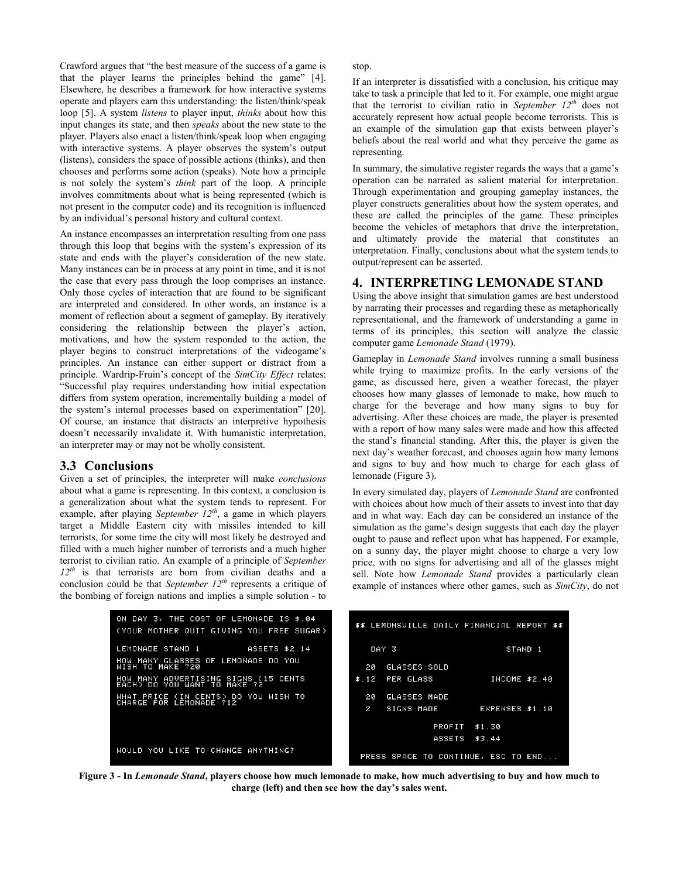Crawford argues that "the best measure of the success of a game is that the player learns the principles behind the game" [4]. Elsewhere, he describes a framework for how interactive systems operate and players earn this understanding: the listen/think/speak loop [5]. A system *listens* to player input, *thinks* about how this input changes its state, and then *speaks* about the new state to the player. Players also enact a listen/think/speak loop when engaging with interactive systems. A player observes the system's output (listens), considers the space of possible actions (thinks), and then chooses and performs some action (speaks). Note how a principle is not solely the system's *think* part of the loop. A principle involves commitments about what is being represented (which is not present in the computer code) and its recognition is influenced by an individual's personal history and cultural context.

An instance encompasses an interpretation resulting from one pass through this loop that begins with the system's expression of its state and ends with the player's consideration of the new state. Many instances can be in process at any point in time, and it is not the case that every pass through the loop comprises an instance. Only those cycles of interaction that are found to be significant are interpreted and considered. In other words, an instance is a moment of reflection about a segment of gameplay. By iteratively considering the relationship between the player's action, motivations, and how the system responded to the action, the player begins to construct interpretations of the videogame's principles. An instance can either support or distract from a principle. Wardrip-Fruin's concept of the *SimCity Effect* relates: "Successful play requires understanding how initial expectation differs from system operation, incrementally building a model of the system's internal processes based on experimentation" [20]. Of course, an instance that distracts an interpretive hypothesis doesn't necessarily invalidate it. With humanistic interpretation, an interpreter may or may not be wholly consistent.

#### **3.3 Conclusions**

Given a set of principles, the interpreter will make *conclusions* about what a game is representing. In this context, a conclusion is a generalization about what the system tends to represent. For example, after playing *September 12th*, a game in which players target a Middle Eastern city with missiles intended to kill terrorists, for some time the city will most likely be destroyed and filled with a much higher number of terrorists and a much higher terrorist to civilian ratio. An example of a principle of *September 12th* is that terrorists are born from civilian deaths and a conclusion could be that *September 12th* represents a critique of the bombing of foreign nations and implies a simple solution - to stop.

If an interpreter is dissatisfied with a conclusion, his critique may take to task a principle that led to it. For example, one might argue that the terrorist to civilian ratio in *September 12th* does not accurately represent how actual people become terrorists. This is an example of the simulation gap that exists between player's beliefs about the real world and what they perceive the game as representing.

In summary, the simulative register regards the ways that a game's operation can be narrated as salient material for interpretation. Through experimentation and grouping gameplay instances, the player constructs generalities about how the system operates, and these are called the principles of the game. These principles become the vehicles of metaphors that drive the interpretation, and ultimately provide the material that constitutes an interpretation. Finally, conclusions about what the system tends to output/represent can be asserted.

#### **4. INTERPRETING LEMONADE STAND**

Using the above insight that simulation games are best understood by narrating their processes and regarding these as metaphorically representational, and the framework of understanding a game in terms of its principles, this section will analyze the classic computer game *Lemonade Stand* (1979).

Gameplay in *Lemonade Stand* involves running a small business while trying to maximize profits. In the early versions of the game, as discussed here, given a weather forecast, the player chooses how many glasses of lemonade to make, how much to charge for the beverage and how many signs to buy for advertising. After these choices are made, the player is presented with a report of how many sales were made and how this affected the stand's financial standing. After this, the player is given the next day's weather forecast, and chooses again how many lemons and signs to buy and how much to charge for each glass of lemonade (Figure 3).

In every simulated day, players of *Lemonade Stand* are confronted with choices about how much of their assets to invest into that day and in what way. Each day can be considered an instance of the simulation as the game's design suggests that each day the player ought to pause and reflect upon what has happened. For example, on a sunny day, the player might choose to charge a very low price, with no signs for advertising and all of the glasses might sell. Note how *Lemonade Stand* provides a particularly clean example of instances where other games, such as *SimCity*, do not



**Figure 3 - In** *Lemonade Stand***, players choose how much lemonade to make, how much advertising to buy and how much to charge (left) and then see how the day's sales went.**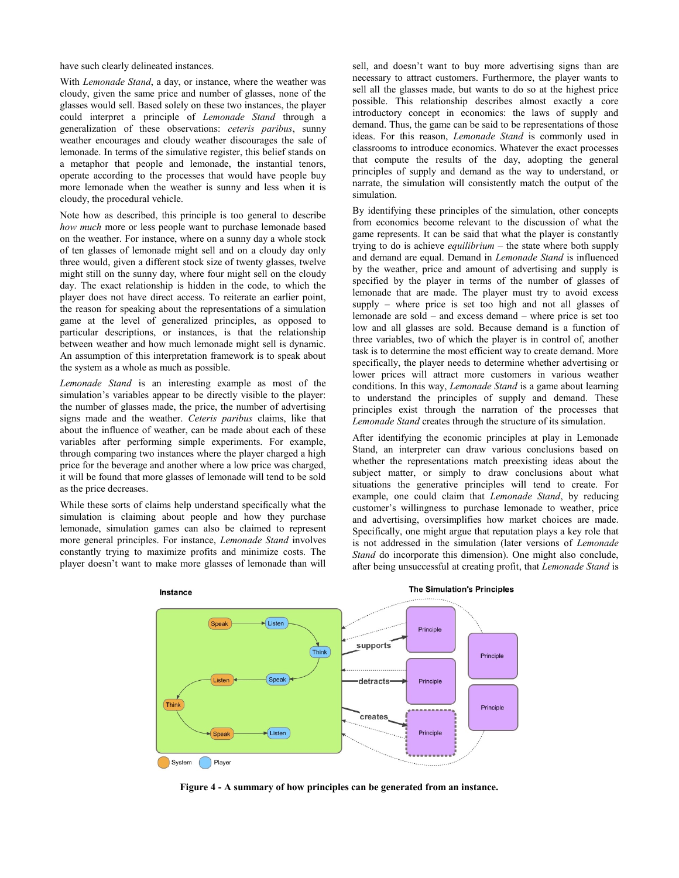have such clearly delineated instances.

With *Lemonade Stand*, a day, or instance, where the weather was cloudy, given the same price and number of glasses, none of the glasses would sell. Based solely on these two instances, the player could interpret a principle of *Lemonade Stand* through a generalization of these observations: *ceteris paribus*, sunny weather encourages and cloudy weather discourages the sale of lemonade. In terms of the simulative register, this belief stands on a metaphor that people and lemonade, the instantial tenors, operate according to the processes that would have people buy more lemonade when the weather is sunny and less when it is cloudy, the procedural vehicle.

Note how as described, this principle is too general to describe *how much* more or less people want to purchase lemonade based on the weather. For instance, where on a sunny day a whole stock of ten glasses of lemonade might sell and on a cloudy day only three would, given a different stock size of twenty glasses, twelve might still on the sunny day, where four might sell on the cloudy day. The exact relationship is hidden in the code, to which the player does not have direct access. To reiterate an earlier point, the reason for speaking about the representations of a simulation game at the level of generalized principles, as opposed to particular descriptions, or instances, is that the relationship between weather and how much lemonade might sell is dynamic. An assumption of this interpretation framework is to speak about the system as a whole as much as possible.

*Lemonade Stand* is an interesting example as most of the simulation's variables appear to be directly visible to the player: the number of glasses made, the price, the number of advertising signs made and the weather. *Ceteris paribus* claims, like that about the influence of weather, can be made about each of these variables after performing simple experiments. For example, through comparing two instances where the player charged a high price for the beverage and another where a low price was charged, it will be found that more glasses of lemonade will tend to be sold as the price decreases.

While these sorts of claims help understand specifically what the simulation is claiming about people and how they purchase lemonade, simulation games can also be claimed to represent more general principles. For instance, *Lemonade Stand* involves constantly trying to maximize profits and minimize costs. The player doesn't want to make more glasses of lemonade than will

sell, and doesn't want to buy more advertising signs than are necessary to attract customers. Furthermore, the player wants to sell all the glasses made, but wants to do so at the highest price possible. This relationship describes almost exactly a core introductory concept in economics: the laws of supply and demand. Thus, the game can be said to be representations of those ideas. For this reason, *Lemonade Stand* is commonly used in classrooms to introduce economics. Whatever the exact processes that compute the results of the day, adopting the general principles of supply and demand as the way to understand, or narrate, the simulation will consistently match the output of the simulation.

By identifying these principles of the simulation, other concepts from economics become relevant to the discussion of what the game represents. It can be said that what the player is constantly trying to do is achieve *equilibrium* – the state where both supply and demand are equal. Demand in *Lemonade Stand* is influenced by the weather, price and amount of advertising and supply is specified by the player in terms of the number of glasses of lemonade that are made. The player must try to avoid excess supply – where price is set too high and not all glasses of lemonade are sold – and excess demand – where price is set too low and all glasses are sold. Because demand is a function of three variables, two of which the player is in control of, another task is to determine the most efficient way to create demand. More specifically, the player needs to determine whether advertising or lower prices will attract more customers in various weather conditions. In this way, *Lemonade Stand* is a game about learning to understand the principles of supply and demand. These principles exist through the narration of the processes that *Lemonade Stand* creates through the structure of its simulation.

After identifying the economic principles at play in Lemonade Stand, an interpreter can draw various conclusions based on whether the representations match preexisting ideas about the subject matter, or simply to draw conclusions about what situations the generative principles will tend to create. For example, one could claim that *Lemonade Stand*, by reducing customer's willingness to purchase lemonade to weather, price and advertising, oversimplifies how market choices are made. Specifically, one might argue that reputation plays a key role that is not addressed in the simulation (later versions of *Lemonade Stand* do incorporate this dimension). One might also conclude, after being unsuccessful at creating profit, that *Lemonade Stand* is



**The Simulation's Principles** 

**Figure 4 - A summary of how principles can be generated from an instance.**